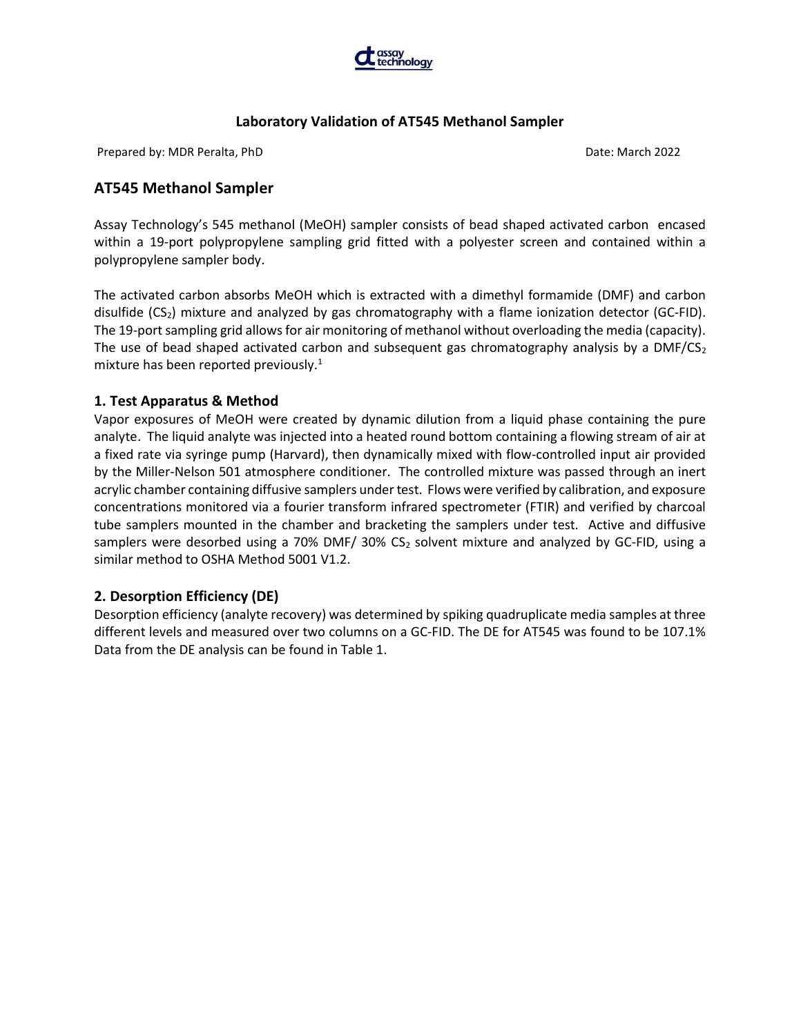

Prepared by: MDR Peralta, PhD Date: March 2022

# AT545 Methanol Sampler

Assay Technology's 545 methanol (MeOH) sampler consists of bead shaped activated carbon encased within a 19-port polypropylene sampling grid fitted with a polyester screen and contained within a polypropylene sampler body.

The activated carbon absorbs MeOH which is extracted with a dimethyl formamide (DMF) and carbon disulfide  $(CS_2)$  mixture and analyzed by gas chromatography with a flame ionization detector  $(GC-FID)$ . The 19-port sampling grid allows for air monitoring of methanol without overloading the media (capacity). The use of bead shaped activated carbon and subsequent gas chromatography analysis by a DMF/CS<sub>2</sub> mixture has been reported previously.<sup>1</sup>

# 1. Test Apparatus & Method

Vapor exposures of MeOH were created by dynamic dilution from a liquid phase containing the pure analyte. The liquid analyte was injected into a heated round bottom containing a flowing stream of air at a fixed rate via syringe pump (Harvard), then dynamically mixed with flow-controlled input air provided by the Miller-Nelson 501 atmosphere conditioner. The controlled mixture was passed through an inert acrylic chamber containing diffusive samplers under test. Flows were verified by calibration, and exposure concentrations monitored via a fourier transform infrared spectrometer (FTIR) and verified by charcoal tube samplers mounted in the chamber and bracketing the samplers under test. Active and diffusive samplers were desorbed using a 70% DMF/ 30% CS<sub>2</sub> solvent mixture and analyzed by GC-FID, using a similar method to OSHA Method 5001 V1.2.

# 2. Desorption Efficiency (DE)

Desorption efficiency (analyte recovery) was determined by spiking quadruplicate media samples at three different levels and measured over two columns on a GC-FID. The DE for AT545 was found to be 107.1% Data from the DE analysis can be found in Table 1.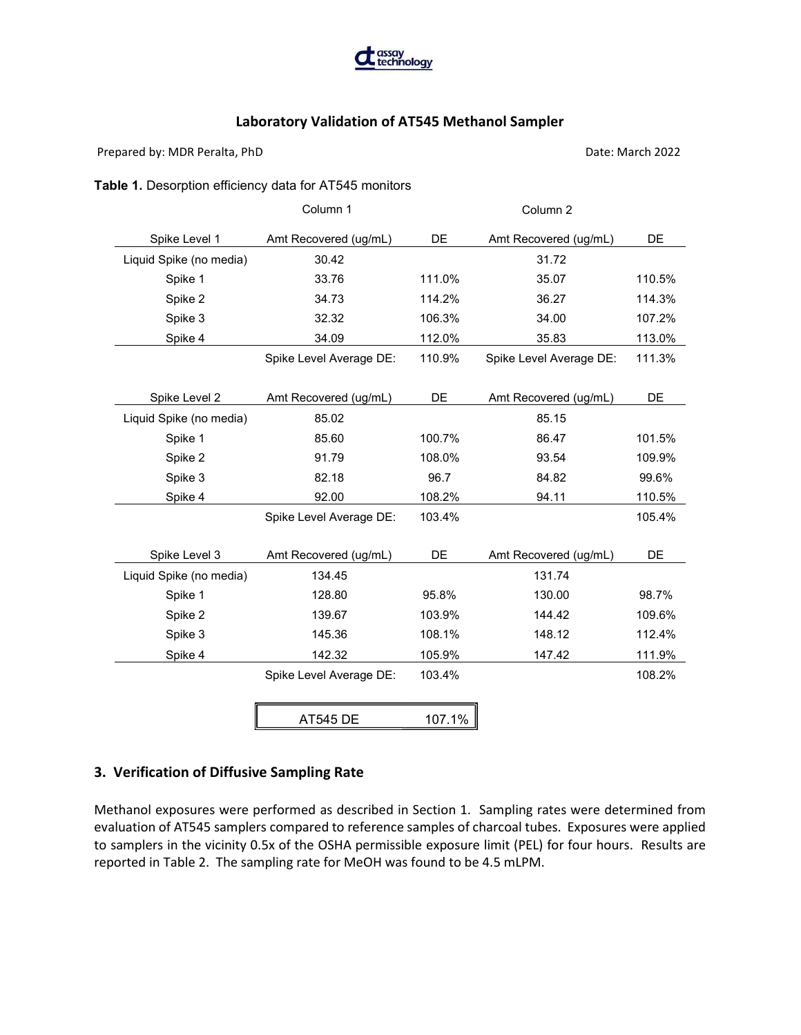

Prepared by: MDR Peralta, PhD Date: March 2022

#### Table 1. Desorption efficiency data for AT545 monitors

|                         | Column 1                |        | Column 2                |        |
|-------------------------|-------------------------|--------|-------------------------|--------|
| Spike Level 1           | Amt Recovered (ug/mL)   | DE     | Amt Recovered (ug/mL)   | DE     |
| Liquid Spike (no media) | 30.42                   |        | 31.72                   |        |
| Spike 1                 | 33.76                   | 111.0% | 35.07                   | 110.5% |
| Spike 2                 | 34.73                   | 114.2% | 36.27                   | 114.3% |
| Spike 3                 | 32.32                   | 106.3% | 34.00                   | 107.2% |
| Spike 4                 | 34.09                   | 112.0% | 35.83                   | 113.0% |
|                         | Spike Level Average DE: | 110.9% | Spike Level Average DE: | 111.3% |
|                         |                         |        |                         |        |
| Spike Level 2           | Amt Recovered (ug/mL)   | DE     | Amt Recovered (ug/mL)   | DE     |
| Liquid Spike (no media) | 85.02                   |        | 85.15                   |        |
| Spike 1                 | 85.60                   | 100.7% | 86.47                   | 101.5% |
| Spike 2                 | 91.79                   | 108.0% | 93.54                   | 109.9% |
| Spike 3                 | 82.18                   | 96.7   | 84.82                   | 99.6%  |
| Spike 4                 | 92.00                   | 108.2% | 94.11                   | 110.5% |
|                         | Spike Level Average DE: | 103.4% |                         | 105.4% |
|                         |                         |        |                         |        |
| Spike Level 3           | Amt Recovered (ug/mL)   | DE     | Amt Recovered (ug/mL)   | DE     |
| Liquid Spike (no media) | 134.45                  |        | 131.74                  |        |
| Spike 1                 | 128.80                  | 95.8%  | 130.00                  | 98.7%  |
| Spike 2                 | 139.67                  | 103.9% | 144.42                  | 109.6% |
| Spike 3                 | 145.36                  | 108.1% | 148.12                  | 112.4% |
| Spike 4                 | 142.32                  | 105.9% | 147.42                  | 111.9% |
|                         | Spike Level Average DE: | 103.4% |                         | 108.2% |
|                         |                         |        |                         |        |
|                         | <b>AT545 DE</b>         | 107.1% |                         |        |

# 3. Verification of Diffusive Sampling Rate

Methanol exposures were performed as described in Section 1. Sampling rates were determined from evaluation of AT545 samplers compared to reference samples of charcoal tubes. Exposures were applied to samplers in the vicinity 0.5x of the OSHA permissible exposure limit (PEL) for four hours. Results are reported in Table 2. The sampling rate for MeOH was found to be 4.5 mLPM.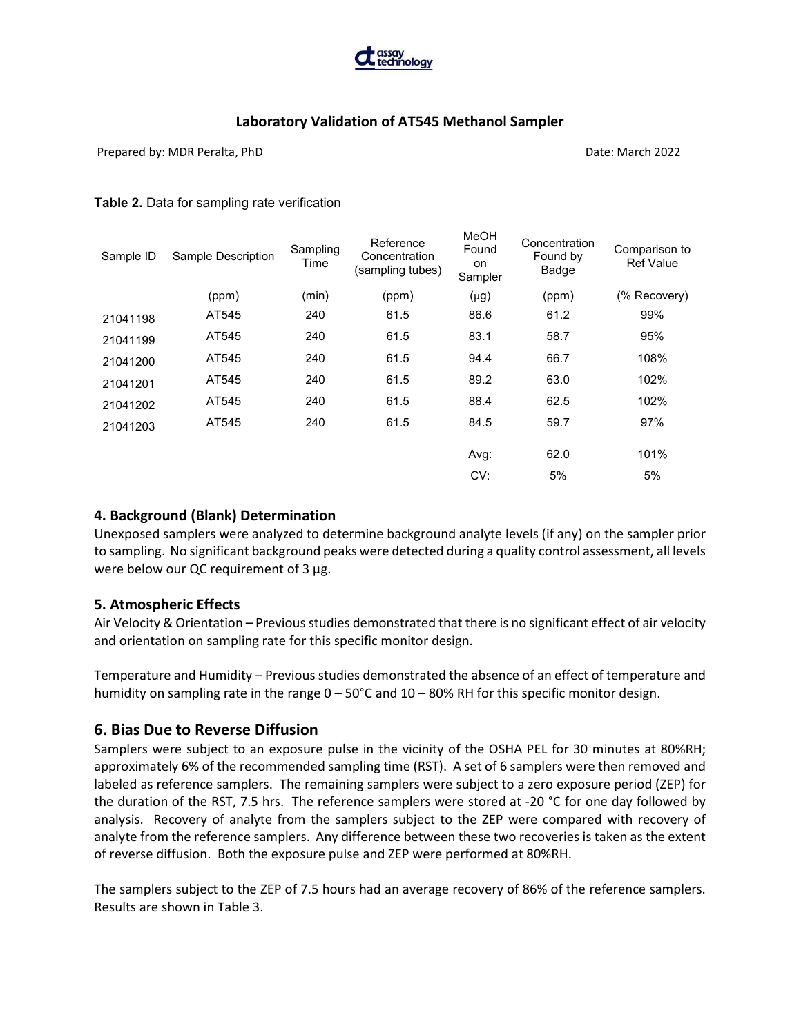

Prepared by: MDR Peralta, PhD Date: March 2022

#### Table 2. Data for sampling rate verification

| Sample ID | Sample Description | Sampling<br>Time | Reference<br>Concentration<br>(sampling tubes) | <b>MeOH</b><br>Found<br>on<br>Sampler | Concentration<br>Found by<br>Badge | Comparison to<br><b>Ref Value</b> |
|-----------|--------------------|------------------|------------------------------------------------|---------------------------------------|------------------------------------|-----------------------------------|
|           | (ppm)              | (min)            | (ppm)                                          | $(\mu g)$                             | (ppm)                              | (% Recovery)                      |
| 21041198  | AT545              | 240              | 61.5                                           | 86.6                                  | 61.2                               | 99%                               |
| 21041199  | AT545              | 240              | 61.5                                           | 83.1                                  | 58.7                               | 95%                               |
| 21041200  | AT545              | 240              | 61.5                                           | 94.4                                  | 66.7                               | 108%                              |
| 21041201  | AT545              | 240              | 61.5                                           | 89.2                                  | 63.0                               | 102%                              |
| 21041202  | AT545              | 240              | 61.5                                           | 88.4                                  | 62.5                               | 102%                              |
| 21041203  | AT545              | 240              | 61.5                                           | 84.5                                  | 59.7                               | 97%                               |
|           |                    |                  |                                                | Avg:                                  | 62.0                               | 101%                              |
|           |                    |                  |                                                | CV:                                   | 5%                                 | 5%                                |
|           |                    |                  |                                                |                                       |                                    |                                   |

#### 4. Background (Blank) Determination

Unexposed samplers were analyzed to determine background analyte levels (if any) on the sampler prior to sampling. No significant background peaks were detected during a quality control assessment, all levels were below our QC requirement of 3 µg.

### 5. Atmospheric Effects

Air Velocity & Orientation – Previous studies demonstrated that there is no significant effect of air velocity and orientation on sampling rate for this specific monitor design.

Temperature and Humidity – Previous studies demonstrated the absence of an effect of temperature and humidity on sampling rate in the range 0 – 50°C and 10 – 80% RH for this specific monitor design.

### 6. Bias Due to Reverse Diffusion

Samplers were subject to an exposure pulse in the vicinity of the OSHA PEL for 30 minutes at 80%RH; approximately 6% of the recommended sampling time (RST). A set of 6 samplers were then removed and labeled as reference samplers. The remaining samplers were subject to a zero exposure period (ZEP) for the duration of the RST, 7.5 hrs. The reference samplers were stored at -20 °C for one day followed by analysis. Recovery of analyte from the samplers subject to the ZEP were compared with recovery of analyte from the reference samplers. Any difference between these two recoveries is taken as the extent of reverse diffusion. Both the exposure pulse and ZEP were performed at 80%RH.

The samplers subject to the ZEP of 7.5 hours had an average recovery of 86% of the reference samplers. Results are shown in Table 3.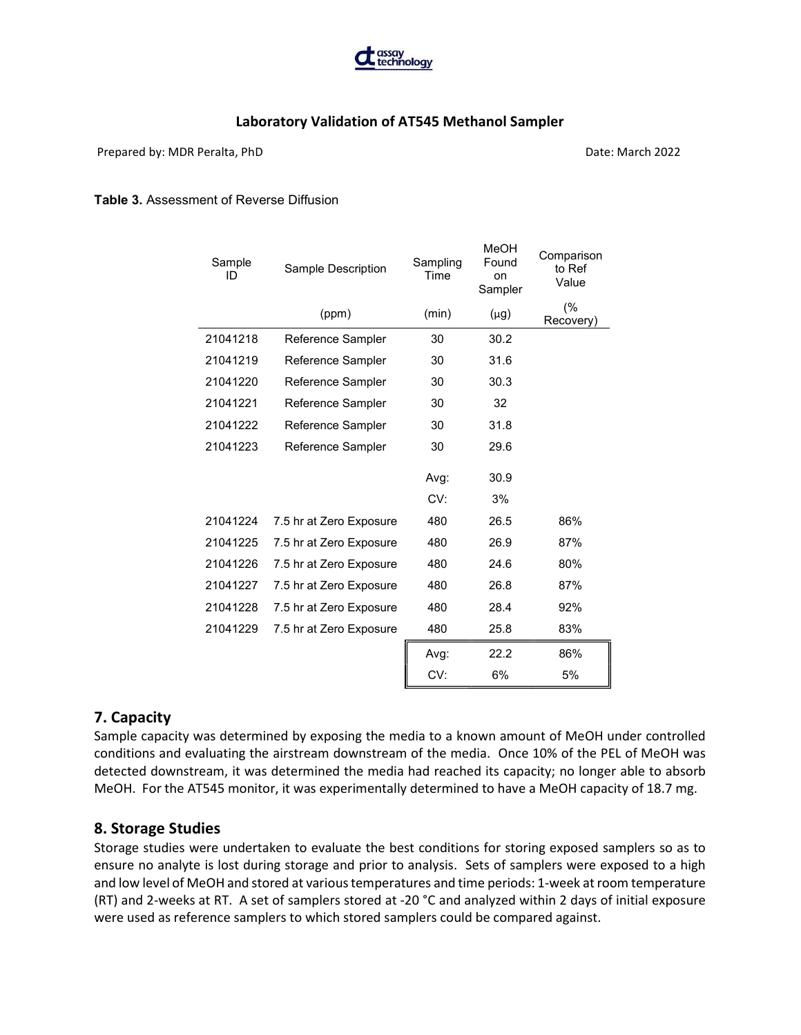

Prepared by: MDR Peralta, PhD Date: March 2022

#### Table 3. Assessment of Reverse Diffusion

| Sample<br>ID | Sample Description      | Sampling<br>Time | MeOH<br>Found<br>on<br>Sampler | Comparison<br>to Ref<br>Value |
|--------------|-------------------------|------------------|--------------------------------|-------------------------------|
|              | (ppm)                   | (min)            | $(\mu g)$                      | (%<br>Recovery)               |
| 21041218     | Reference Sampler       | 30               | 30.2                           |                               |
| 21041219     | Reference Sampler       | 30               | 31.6                           |                               |
| 21041220     | Reference Sampler       | 30               | 30.3                           |                               |
| 21041221     | Reference Sampler       | 30               | 32                             |                               |
| 21041222     | Reference Sampler       | 30               | 31.8                           |                               |
| 21041223     | Reference Sampler       | 30               | 29.6                           |                               |
|              |                         | Avg:<br>CV:      | 30.9<br>3%                     |                               |
| 21041224     | 7.5 hr at Zero Exposure | 480              | 26.5                           | 86%                           |
| 21041225     | 7.5 hr at Zero Exposure | 480              | 26.9                           | 87%                           |
| 21041226     | 7.5 hr at Zero Exposure | 480              | 24.6                           | 80%                           |
| 21041227     | 7.5 hr at Zero Exposure | 480              | 26.8                           | 87%                           |
| 21041228     | 7.5 hr at Zero Exposure | 480              | 28.4                           | 92%                           |
| 21041229     | 7.5 hr at Zero Exposure | 480              | 25.8                           | 83%                           |
|              |                         | Avg:             | 22.2                           | 86%                           |
|              |                         | CV:              | 6%                             | 5%                            |
|              |                         |                  |                                |                               |

# 7. Capacity

Sample capacity was determined by exposing the media to a known amount of MeOH under controlled conditions and evaluating the airstream downstream of the media. Once 10% of the PEL of MeOH was detected downstream, it was determined the media had reached its capacity; no longer able to absorb MeOH. For the AT545 monitor, it was experimentally determined to have a MeOH capacity of 18.7 mg.

### 8. Storage Studies

Storage studies were undertaken to evaluate the best conditions for storing exposed samplers so as to ensure no analyte is lost during storage and prior to analysis. Sets of samplers were exposed to a high and low level of MeOH and stored at various temperatures and time periods: 1-week at room temperature (RT) and 2-weeks at RT. A set of samplers stored at -20 °C and analyzed within 2 days of initial exposure were used as reference samplers to which stored samplers could be compared against.